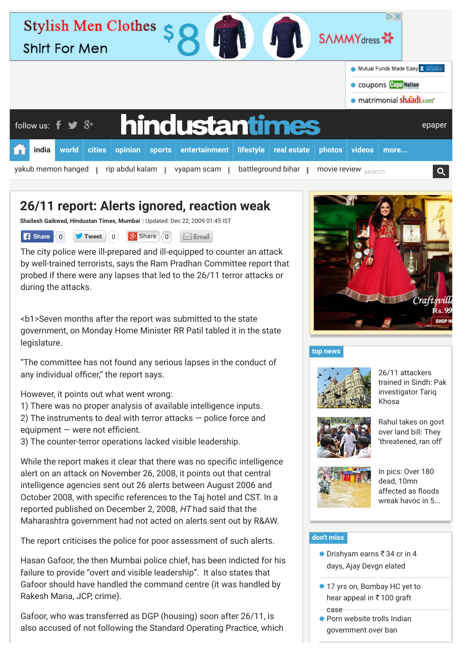| $D \times$<br><b>Stylish Men Clothes</b><br><b>SAMMY</b> dress <b>**</b><br><b>Shirt For Men</b> |       |                                                          |               |                                      |        |                |                  |                    |                                  |                          |      |        |
|--------------------------------------------------------------------------------------------------|-------|----------------------------------------------------------|---------------|--------------------------------------|--------|----------------|------------------|--------------------|----------------------------------|--------------------------|------|--------|
|                                                                                                  |       |                                                          |               |                                      |        |                |                  |                    | Mutual Funds Made Easy & ACADEMY |                          |      |        |
|                                                                                                  |       |                                                          |               |                                      |        |                |                  |                    |                                  | Coupons Cupo Nation      |      |        |
|                                                                                                  |       |                                                          |               |                                      |        |                |                  |                    |                                  | · matrimonial shaadi.com |      |        |
|                                                                                                  |       | follow us: $\mathbf{f} \blacktriangleright \mathbf{S}^+$ |               |                                      |        | hindustantimes |                  |                    |                                  |                          |      | epaper |
|                                                                                                  | india | world                                                    | <b>cities</b> | opinion                              | sports | entertainment  | <b>lifestyle</b> | real estate        | photos                           | videos                   | more |        |
|                                                                                                  |       |                                                          |               | yakub memon hanged   rip abdul kalam |        | vyapam scam    |                  | battleground bihar |                                  | movie review search      |      | Q      |

# **26/11 report: Alerts ignored, reaction weak**

**Shailesh Gaikwad, [Hindustan Times,](http://www.hindustantimes.com/Search/Search.aspx?op=story&pt=all&auth=Hindustan%20Times) Mumbai** | Updated: Dec 22, 2009 01:45 IST

**f** Share 0 **J** Tweet 0 8 Share 0 **Email** 

The city police were ill-prepared and ill-equipped to counter an attack by well-trained terrorists, says the Ram Pradhan Committee report that probed if there were any lapses that led to the 26/11 terror attacks or during the attacks.

<b1>Seven months after the report was submitted to the state government, on Monday Home Minister RR Patil tabled it in the state legislature.

"The committee has not found any serious lapses in the conduct of any individual officer," the report says.

However, it points out what went wrong:

1) There was no proper analysis of available intelligence inputs.

2) The instruments to deal with terror attacks — police force and  $e$ quipment  $-$  were not efficient.

3) The counter-terror operations lacked visible leadership.

While the report makes it clear that there was no specific intelligence alert on an attack on November 26, 2008, it points out that central intelligence agencies sent out 26 alerts between August 2006 and October 2008, with specific references to the Taj hotel and CST. In a reported published on December 2, 2008, HT had said that the Maharashtra government had not acted on alerts sent out by R&AW.

The report criticises the police for poor assessment of such alerts.

Hasan Gafoor, the then Mumbai police chief, has been indicted for his failure to provide "overt and visible leadership". It also states that Gafoor should have handled the command centre (it was handled by Rakesh Maria, JCP, crime).

Gafoor, who was transferred as DGP (housing) soon after 26/11, is also accused of not following the Standard Operating Practice, which



## **[top news](http://www.hindustantimes.com/homepage/homepage-topstories/lid.aspx)**



26/11 attackers [trained in Sindh: Pak](http://www.hindustantimes.com/india-news/mumbai-attacks-launched-from-pakistani-soil-ex-investigator-tariq-khosa/article1-1376283.aspx) investigator Tariq Khosa



[Rahul takes on govt](http://www.hindustantimes.com/india-news/rahul-gandhi-takes-on-nda-govt-over-land-bill-they-threatened-ran-off/article1-1376349.aspx) over land bill: They 'threatened, ran off'



In pics: Over 180 dead, 10mn affected as floods [wreak havoc in 5...](http://www.hindustantimes.com/india-news/in-pics-over-180-dead-as-flood-fury-wreaks-havoc-in-five-states/article1-1376284.aspx)

## **[don't miss](http://www.hindustantimes.com/homepage/chunk-ht-ui-common-dontmiss/lid.aspx)**

- $\bullet$  Drishyam earns  $\overline{\phantom{0}}$  34 cr in 4 [days, Ajay Devgn elated](http://www.hindustantimes.com/bollywood/drishyam-earns-rs-34-cr-in-4-days-ajay-devgn-elated/article1-1376287.aspx?li_source=base&li_medium=dont-miss&li_campaign=related-test)
- [17 yrs on, Bombay HC yet to](http://www.hindustantimes.com/mumbai/17-yrs-on-bombay-hc-yet-to-hear-appeal-in-rs-100-graft-case/article1-1376316.aspx?li_source=base&li_medium=dont-miss&li_campaign=related-test) hear appeal in  $\overline{\xi}$  100 graft case
- **[Porn website trolls Indian](http://www.hindustantimes.com/india-news/porn-website-trolls-indian-govt-over-ban/article1-1376301.aspx?li_source=base&li_medium=dont-miss&li_campaign=related-test)** government over ban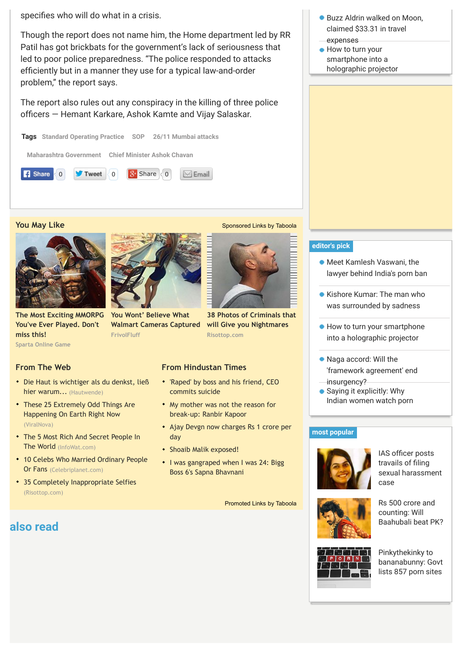specifies who will do what in a crisis.

Though the report does not name him, the Home department led by RR Patil has got brickbats for the government's lack of seriousness that led to poor police preparedness. "The police responded to attacks efficiently but in a manner they use for a typical law-and-order problem," the report says.

The report also rules out any conspiracy in the killing of three police officers – Hemant Karkare, Ashok Kamte and Vijay Salaskar.



#### **You May Like** [Sponsored Links](http://www.taboola.com/en/popup?template=colorbox&taboola_utm_source=hindustantimes&taboola_utm_medium=bytaboola&taboola_utm_content=thumbnails-a:Below%20Article%20Thumbnails:) [by Taboola](http://www.taboola.com/en/popup?template=colorbox&taboola_utm_source=hindustantimes&taboola_utm_medium=bytaboola&taboola_utm_content=thumbnails-a:Below%20Article%20Thumbnails:)



**Sparta Online Game [The Most Exciting MMORPG](http://plarium.com/en/strategy-games/sparta-war-of-empires/?plid=64551&pxl=taboola_fr&&publisherID=hindustantimes) You've Ever Played. Don't miss this! FrivolFluff** 



**You Wont' Believe What [Walmart Cameras Captured](http://www.frivolfluff.com/10-walmart-beauties/?utm_campaign=FRFwalmartPrem&utm_content=P340-T32-walmartlbd-walmart&utm_source=taboola&utm_medium=cpc&utm_term=hindustantimes)**



['Raped' by boss and his friend, CEO](http://www.hindustantimes.com/jaipur/raped-by-boss-and-his-friend-ceo-commits-suicide/article1-708419.aspx) commits suicide

**Risottop.com**

**[38 Photos of Criminals that](http://www.risottop.com/en/non-classe/38-photos-of-criminals-that-will-give-you-nightmares/?utm_source=taboola-en&utm_medium=referral&utm_term=hindustantimes&utm_campaign=taboola-en-11) will Give you Nightmares**

- [My mother was not the reason for](http://m.hindustantimes.com/tabloid/my-mother-was-not-the-reason-for-break-up-ranbir-kapoor/article1-1069241.aspx) break-up: Ranbir Kapoor
- [Ajay Devgn now charges Rs 1 crore per](http://www.hindustantimes.com/bollywood/ajay-devgn-now-charges-rs-1-crore-per-day/article1-948384.aspx) day
- [Shoaib Malik exposed!](http://www.hindustantimes.com/archived-stories/shoaib-malik-exposed/article1-525395.aspx)
- [I was gangraped when I was 24: Bigg](http://www.hindustantimes.com/television/i-was-gangraped-when-i-was-24-bigg-boss-6-s-sapna-bhavnani/article1-1367439.aspx) Boss 6's Sapna Bhavnani

[Promoted Links](http://www.taboola.com/en/popup?template=colorbox&taboola_utm_source=hindustantimes&taboola_utm_medium=bytaboola&taboola_utm_content=hybrid-text-links-a:Below%20Article%20Text%20Links:) [by Taboola](http://www.taboola.com/en/popup?template=colorbox&taboola_utm_source=hindustantimes&taboola_utm_medium=bytaboola&taboola_utm_content=hybrid-text-links-a:Below%20Article%20Text%20Links:)

- Buzz Aldrin walked on Moon. claimed \$33.31 in travel expenses
- How to turn your smartphone into a [holographic projector](http://www.hindustantimes.com/gadgets-updates/how-to-turn-your-smartphone-into-a-holographic-projector/article1-1376286.aspx?li_source=base&li_medium=dont-miss&li_campaign=related-test)



- Meet Kamlesh Vaswani, the [lawyer behind India's porn ban](http://www.hindustantimes.com/india-news/meet-kamlesh-vaswani-the-lawyer-behind-india-s-porn-ban/article1-1376265.aspx)
- **[Kishore Kumar: The man who](http://www.hindustantimes.com/music/the-other-kishore-kumar/article1-1247757.aspx)** was surrounded by sadness
- [How to turn your smartphone](http://www.hindustantimes.com/gadgets-updates/how-to-turn-your-smartphone-into-a-holographic-projector/article1-1376286.aspx) into a holographic projector
- Naga accord: Will the ['framework agreement' end](http://www.hindustantimes.com/india-news/naga-accord-will-the-framework-agreement-ensure-peace/article1-1376223.aspx) insurgency?
- Saying it explicitly: Why [Indian women watch porn](http://www.hindustantimes.com/sexandrelationships/why-indian-women-watch-porn/article1-1376205.aspx)

#### **[most popular](http://www.hindustantimes.com/mostview/chunk-ht-ui-mostviewedstories/lid.aspx)**



IAS officer posts travails of filing [sexual harassment](http://www.hindustantimes.com/india-news/ias-officer-posts-travails-of-filing-sexual-harassment-case-on-fb/article1-1376188.aspx) case







## [Die Haut is wichtiger als du denkst, ließ](https://www.hautwende.de/hautwende/haut-in-zahlen?utm_source=CpC04tab&utm_medium=content&utm_campaign=CpC04)

• [These 25 Extremely Odd Things Are](http://www.viralnova.com/earth-oddities/?mb=lmg&utm_source=taboola&utm_medium=hindustantimes%E2%80%8B&utm_campaign=166540) Happening On Earth Right Now (ViralNova)

hier warum... (Hautwende)

- [The 5 Most Rich And Secret People In](http://infowat.com/the-5-most-secretive-billionaires/?utm_source=taboola&utm_medium=referral&utm_campaign=row-billionaire&utm_term=hindustantimes) The World (InfoWat.com)
- [10 Celebs Who Married Ordinary People](http://www.celebriplanet.com/gossip/10-celebs-who-married-ordinary-people-or-fans/?utm_source=taboola&utm_medium=referral) Or Fans (Celebriplanet.com)
- [35 Completely Inappropriate Selfies](http://www.risottop.com/en/cheesy/35-completely-inappropriate-selfies/?utm_source=taboola-en&utm_medium=referral&utm_term=hindustantimes&utm_campaign=taboola-en-11) (Risottop.com)

## **also read**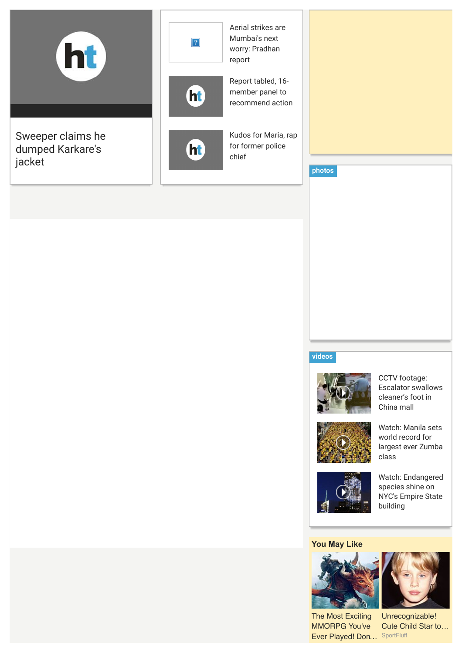

#### **[videos](http://www.hindustantimes.com/audio-news-video/latest-news-video/lid812.aspx)**



CCTV footage: [Escalator swallows](http://www.hindustantimes.com/audio-news-video/av-world/cctv-footage-escalator-swallows-cleaner-s-foot-in-china-mall/article2-1376337.aspx) cleaner's foot in China mall



Watch: Manila sets world record for [largest ever Zumba](http://www.hindustantimes.com/audio-news-video/tab-ht-ui-homepage-multimedia-video/watch-manila-sets-world-record-for-largest-ever-zumba-class/article2-1376002.aspx) class



[Watch: Endangered](http://www.hindustantimes.com/audio-news-video/av-world/watch-endangered-species-shine-on-nyc-s-empire-state-building/article2-1375990.aspx) species shine on NYC's Empire State building

#### **You May Like**



The Most Exciting MMORPG You've [Ever Played! Don…](http://plarium.com/en/strategy-games/stormfall-age-of-war/?plid=65759&pxl=taboola_fr&&publisherID=hindustantimes) SportFluff

Unrecognizable! [Cute Child Star to…](http://www.sportfluff.com/10-cute-child-stars-that-grew-up-ugly/?utm_campaign=SPFUgly&utm_content=P245-T14-cutemac-cuteuglystar&utm_source=taboola&utm_medium=cpc&utm_term=hindustantimes)